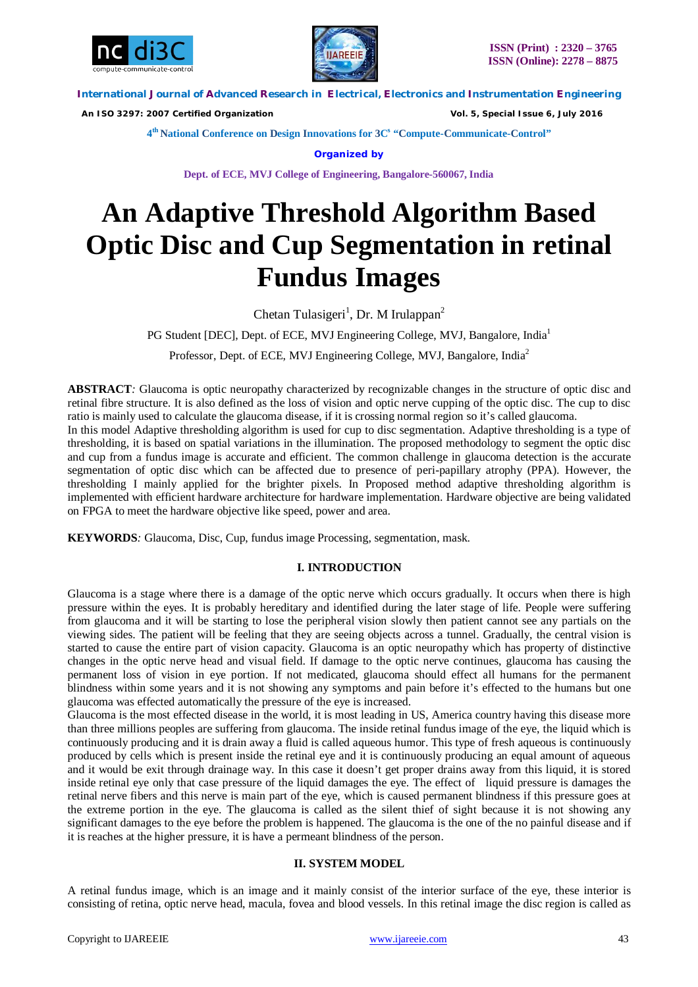



 *An ISO 3297: 2007 Certified Organization Vol. 5, Special Issue 6, July 2016*

**4 th National Conference on Design Innovations for 3C s "Compute-Communicate-Control"** 

**Organized by**

**Dept. of ECE, MVJ College of Engineering, Bangalore-560067, India**

# **An Adaptive Threshold Algorithm Based Optic Disc and Cup Segmentation in retinal Fundus Images**

Chetan Tulasigeri<sup>1</sup>, Dr. M Irulappan<sup>2</sup>

PG Student [DEC], Dept. of ECE, MVJ Engineering College, MVJ, Bangalore, India<sup>1</sup>

Professor, Dept. of ECE, MVJ Engineering College, MVJ, Bangalore, India<sup>2</sup>

**ABSTRACT***:* Glaucoma is optic neuropathy characterized by recognizable changes in the structure of optic disc and retinal fibre structure. It is also defined as the loss of vision and optic nerve cupping of the optic disc. The cup to disc ratio is mainly used to calculate the glaucoma disease, if it is crossing normal region so it's called glaucoma. In this model Adaptive thresholding algorithm is used for cup to disc segmentation. Adaptive thresholding is a type of thresholding, it is based on spatial variations in the illumination. The proposed methodology to segment the optic disc and cup from a fundus image is accurate and efficient. The common challenge in glaucoma detection is the accurate segmentation of optic disc which can be affected due to presence of peri-papillary atrophy (PPA). However, the

thresholding I mainly applied for the brighter pixels. In Proposed method adaptive thresholding algorithm is implemented with efficient hardware architecture for hardware implementation. Hardware objective are being validated on FPGA to meet the hardware objective like speed, power and area.

**KEYWORDS***:* Glaucoma, Disc, Cup, fundus image Processing, segmentation, mask.

## **I. INTRODUCTION**

Glaucoma is a stage where there is a damage of the optic nerve which occurs gradually. It occurs when there is high pressure within the eyes. It is probably hereditary and identified during the later stage of life. People were suffering from glaucoma and it will be starting to lose the peripheral vision slowly then patient cannot see any partials on the viewing sides. The patient will be feeling that they are seeing objects across a tunnel. Gradually, the central vision is started to cause the entire part of vision capacity. Glaucoma is an optic neuropathy which has property of distinctive changes in the optic nerve head and visual field. If damage to the optic nerve continues, glaucoma has causing the permanent loss of vision in eye portion. If not medicated, glaucoma should effect all humans for the permanent blindness within some years and it is not showing any symptoms and pain before it's effected to the humans but one glaucoma was effected automatically the pressure of the eye is increased.

Glaucoma is the most effected disease in the world, it is most leading in US, America country having this disease more than three millions peoples are suffering from glaucoma. The inside retinal fundus image of the eye, the liquid which is continuously producing and it is drain away a fluid is called aqueous humor. This type of fresh aqueous is continuously produced by cells which is present inside the retinal eye and it is continuously producing an equal amount of aqueous and it would be exit through drainage way. In this case it doesn't get proper drains away from this liquid, it is stored inside retinal eye only that case pressure of the liquid damages the eye. The effect of liquid pressure is damages the retinal nerve fibers and this nerve is main part of the eye, which is caused permanent blindness if this pressure goes at the extreme portion in the eye. The glaucoma is called as the silent thief of sight because it is not showing any significant damages to the eye before the problem is happened. The glaucoma is the one of the no painful disease and if it is reaches at the higher pressure, it is have a permeant blindness of the person.

## **II. SYSTEM MODEL**

A retinal fundus image, which is an image and it mainly consist of the interior surface of the eye, these interior is consisting of retina, optic nerve head, macula, fovea and blood vessels. In this retinal image the disc region is called as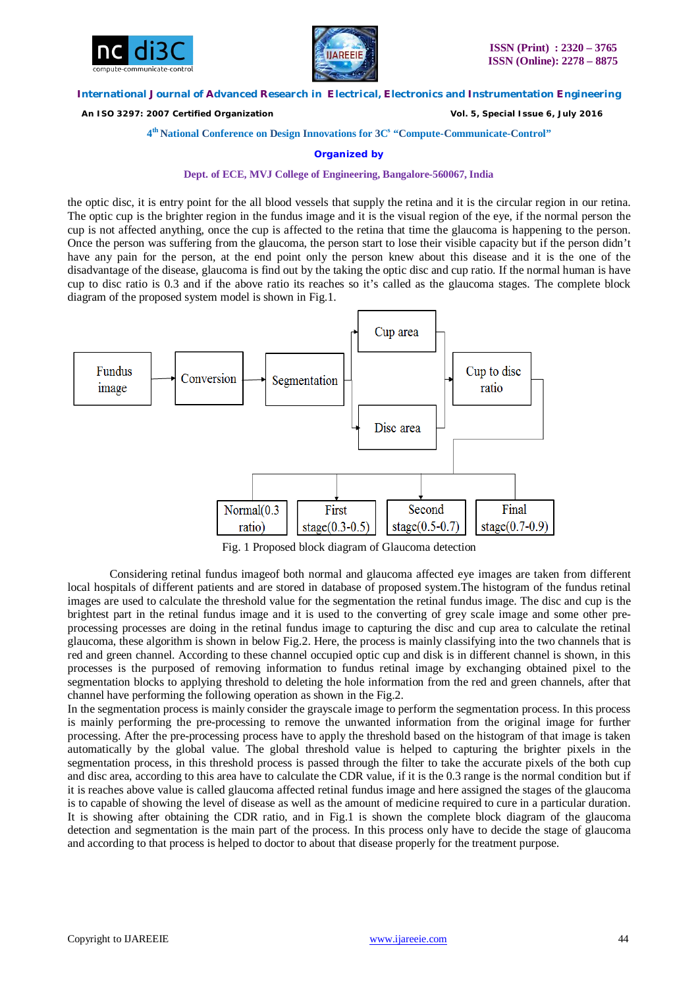



 *An ISO 3297: 2007 Certified Organization Vol. 5, Special Issue 6, July 2016*

## **4 th National Conference on Design Innovations for 3C s "Compute-Communicate-Control"**

#### **Organized by**

#### **Dept. of ECE, MVJ College of Engineering, Bangalore-560067, India**

the optic disc, it is entry point for the all blood vessels that supply the retina and it is the circular region in our retina. The optic cup is the brighter region in the fundus image and it is the visual region of the eye, if the normal person the cup is not affected anything, once the cup is affected to the retina that time the glaucoma is happening to the person. Once the person was suffering from the glaucoma, the person start to lose their visible capacity but if the person didn't have any pain for the person, at the end point only the person knew about this disease and it is the one of the disadvantage of the disease, glaucoma is find out by the taking the optic disc and cup ratio. If the normal human is have cup to disc ratio is 0.3 and if the above ratio its reaches so it's called as the glaucoma stages. The complete block diagram of the proposed system model is shown in Fig.1.



Fig. 1 Proposed block diagram of Glaucoma detection

Considering retinal fundus imageof both normal and glaucoma affected eye images are taken from different local hospitals of different patients and are stored in database of proposed system.The histogram of the fundus retinal images are used to calculate the threshold value for the segmentation the retinal fundus image. The disc and cup is the brightest part in the retinal fundus image and it is used to the converting of grey scale image and some other preprocessing processes are doing in the retinal fundus image to capturing the disc and cup area to calculate the retinal glaucoma, these algorithm is shown in below Fig.2. Here, the process is mainly classifying into the two channels that is red and green channel. According to these channel occupied optic cup and disk is in different channel is shown, in this processes is the purposed of removing information to fundus retinal image by exchanging obtained pixel to the segmentation blocks to applying threshold to deleting the hole information from the red and green channels, after that channel have performing the following operation as shown in the Fig.2.

In the segmentation process is mainly consider the grayscale image to perform the segmentation process. In this process is mainly performing the pre-processing to remove the unwanted information from the original image for further processing. After the pre-processing process have to apply the threshold based on the histogram of that image is taken automatically by the global value. The global threshold value is helped to capturing the brighter pixels in the segmentation process, in this threshold process is passed through the filter to take the accurate pixels of the both cup and disc area, according to this area have to calculate the CDR value, if it is the 0.3 range is the normal condition but if it is reaches above value is called glaucoma affected retinal fundus image and here assigned the stages of the glaucoma is to capable of showing the level of disease as well as the amount of medicine required to cure in a particular duration. It is showing after obtaining the CDR ratio, and in Fig.1 is shown the complete block diagram of the glaucoma detection and segmentation is the main part of the process. In this process only have to decide the stage of glaucoma and according to that process is helped to doctor to about that disease properly for the treatment purpose.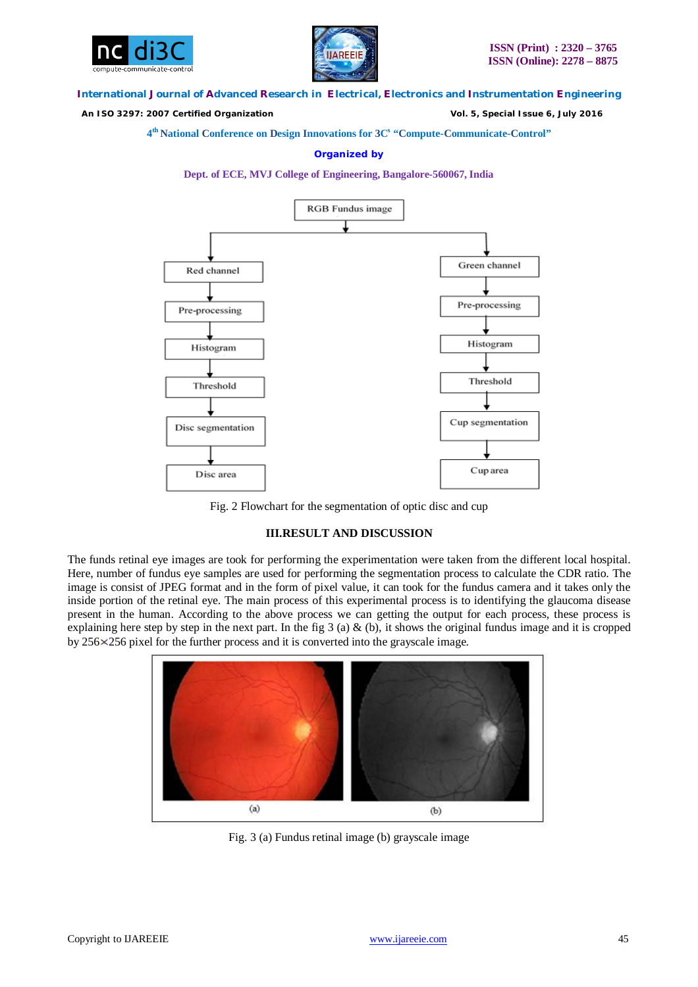



 *An ISO 3297: 2007 Certified Organization Vol. 5, Special Issue 6, July 2016*

**4 th National Conference on Design Innovations for 3C s "Compute-Communicate-Control"** 

## **Organized by**





Fig. 2 Flowchart for the segmentation of optic disc and cup

## **III.RESULT AND DISCUSSION**

The funds retinal eye images are took for performing the experimentation were taken from the different local hospital. Here, number of fundus eye samples are used for performing the segmentation process to calculate the CDR ratio. The image is consist of JPEG format and in the form of pixel value, it can took for the fundus camera and it takes only the inside portion of the retinal eye. The main process of this experimental process is to identifying the glaucoma disease present in the human. According to the above process we can getting the output for each process, these process is explaining here step by step in the next part. In the fig 3 (a) & (b), it shows the original fundus image and it is cropped by 256 256 pixel for the further process and it is converted into the grayscale image.



Fig. 3 (a) Fundus retinal image (b) grayscale image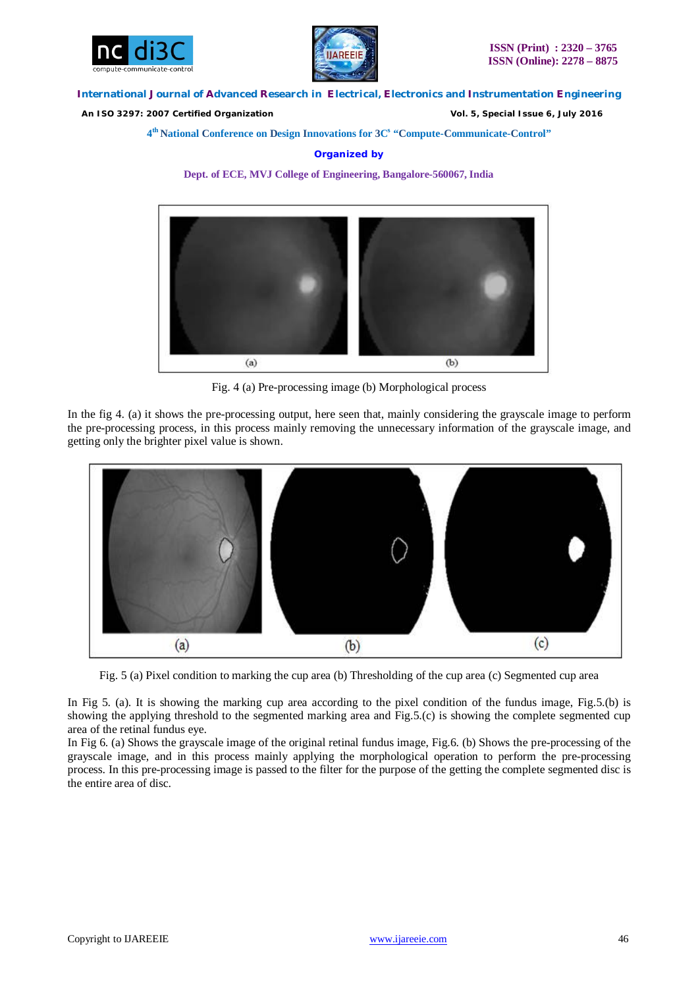



 *An ISO 3297: 2007 Certified Organization Vol. 5, Special Issue 6, July 2016*

**4 th National Conference on Design Innovations for 3C s "Compute-Communicate-Control"** 

## **Organized by**

**Dept. of ECE, MVJ College of Engineering, Bangalore-560067, India**



Fig. 4 (a) Pre-processing image (b) Morphological process

In the fig 4. (a) it shows the pre-processing output, here seen that, mainly considering the grayscale image to perform the pre-processing process, in this process mainly removing the unnecessary information of the grayscale image, and getting only the brighter pixel value is shown.



Fig. 5 (a) Pixel condition to marking the cup area (b) Thresholding of the cup area (c) Segmented cup area

In Fig 5. (a). It is showing the marking cup area according to the pixel condition of the fundus image, Fig.5.(b) is showing the applying threshold to the segmented marking area and Fig.5.(c) is showing the complete segmented cup area of the retinal fundus eye.

In Fig 6. (a) Shows the grayscale image of the original retinal fundus image, Fig.6. (b) Shows the pre-processing of the grayscale image, and in this process mainly applying the morphological operation to perform the pre-processing process. In this pre-processing image is passed to the filter for the purpose of the getting the complete segmented disc is the entire area of disc.